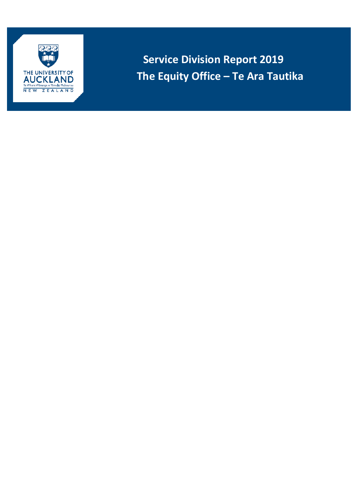

**Service Division Report 2019 The Equity Office – Te Ara Tautika**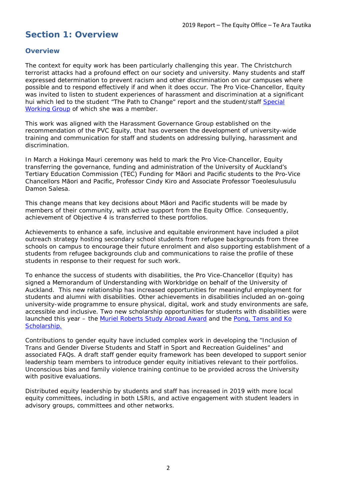## **Section 1: Overview**

#### **Overview**

The context for equity work has been particularly challenging this year. The Christchurch terrorist attacks had a profound effect on our society and university. Many students and staff expressed determination to prevent racism and other discrimination on our campuses where possible and to respond effectively if and when it does occur. The Pro Vice-Chancellor, Equity was invited to listen to student experiences of harassment and discrimination at a significant hui which led to the student "The Path to Change" report and the student/staff [Special](https://www.auckland.ac.nz/en/news/notices/2019/report-from-the-special-working-group-on-discrimination.html)  [Working Group](https://www.auckland.ac.nz/en/news/notices/2019/report-from-the-special-working-group-on-discrimination.html) of which she was a member.

This work was aligned with the Harassment Governance Group established on the recommendation of the PVC Equity, that has overseen the development of university-wide training and communication for staff and students on addressing bullying, harassment and discrimination.

In March a Hokinga Mauri ceremony was held to mark the Pro Vice-Chancellor, Equity transferring the governance, funding and administration of the University of Auckland's Tertiary Education Commission (TEC) Funding for Māori and Pacific students to the Pro-Vice Chancellors Māori and Pacific, Professor Cindy Kiro and Associate Professor Toeolesulusulu Damon Salesa.

This change means that key decisions about Māori and Pacific students will be made by members of their community, with active support from the Equity Office. Consequently, achievement of Objective 4 is transferred to these portfolios.

Achievements to enhance a safe, inclusive and equitable environment have included a pilot outreach strategy hosting secondary school students from refugee backgrounds from three schools on campus to encourage their future enrolment and also supporting establishment of a students from refugee backgrounds club and communications to raise the profile of these students in response to their request for such work.

To enhance the success of students with disabilities, the Pro Vice-Chancellor (Equity) has signed a Memorandum of Understanding with Workbridge on behalf of the University of Auckland. This new relationship has increased opportunities for meaningful employment for students and alumni with disabilities. Other achievements in disabilities included an on-going university-wide programme to ensure physical, digital, work and study environments are safe, accessible and inclusive. Two new scholarship opportunities for students with disabilities were launched this year – the [Muriel Roberts Study Abroad Award](https://www.auckland.ac.nz/en/study/scholarships-and-awards/find-a-scholarship/muriel-roberts-study-abroad-award-for-students-with-disabilities-1019-all.html) and the [Pong, Tams and Ko](https://www.auckland.ac.nz/en/study/scholarships-and-awards/find-a-scholarship/pong-tams-ko-scholarship-1037-all.html)  [Scholarship.](https://www.auckland.ac.nz/en/study/scholarships-and-awards/find-a-scholarship/pong-tams-ko-scholarship-1037-all.html)

Contributions to gender equity have included complex work in developing the "Inclusion of Trans and Gender Diverse Students and Staff in Sport and Recreation Guidelines" and associated FAQs. A draft staff gender equity framework has been developed to support senior leadership team members to introduce gender equity initiatives relevant to their portfolios. Unconscious bias and family violence training continue to be provided across the University with positive evaluations.

Distributed equity leadership by students and staff has increased in 2019 with more local equity committees, including in both LSRIs, and active engagement with student leaders in advisory groups, committees and other networks.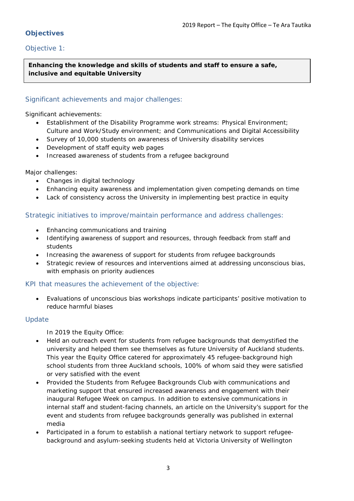## **Objectives**

## *Objective 1:*

**Enhancing the knowledge and skills of students and staff to ensure a safe, inclusive and equitable University**

#### Significant achievements and major challenges:

Significant achievements:

- Establishment of the Disability Programme work streams: Physical Environment; Culture and Work/Study environment; and Communications and Digital Accessibility
- Survey of 10,000 students on awareness of University disability services
- Development of staff equity web pages
- Increased awareness of students from a refugee background

Major challenges:

- Changes in digital technology
- Enhancing equity awareness and implementation given competing demands on time
- Lack of consistency across the University in implementing best practice in equity

#### Strategic initiatives to improve/maintain performance and address challenges:

- Enhancing communications and training
- Identifying awareness of support and resources, through feedback from staff and students
- Increasing the awareness of support for students from refugee backgrounds
- Strategic review of resources and interventions aimed at addressing unconscious bias, with emphasis on priority audiences

#### KPI that measures the achievement of the objective:

• Evaluations of unconscious bias workshops indicate participants' positive motivation to reduce harmful biases

#### Update

In 2019 the Equity Office:

- Held an outreach event for students from refugee backgrounds that demystified the university and helped them see themselves as future University of Auckland students. This year the Equity Office catered for approximately 45 refugee-background high school students from three Auckland schools, 100% of whom said they were satisfied or very satisfied with the event
- Provided the Students from Refugee Backgrounds Club with communications and marketing support that ensured increased awareness and engagement with their inaugural Refugee Week on campus. In addition to extensive communications in internal staff and student-facing channels, an article on the University's support for the event and students from refugee backgrounds generally was published in external media
- Participated in a forum to establish a national tertiary network to support refugeebackground and asylum-seeking students held at Victoria University of Wellington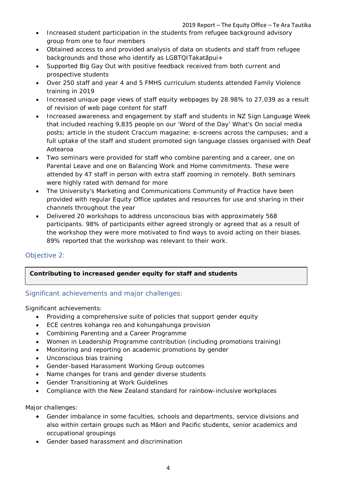- Increased student participation in the students from refugee background advisory group from one to four members
- Obtained access to and provided analysis of data on students and staff from refugee backgrounds and those who identify as LGBTQITakatāpui+
- Supported Big Gay Out with positive feedback received from both current and prospective students
- Over 250 staff and year 4 and 5 FMHS curriculum students attended Family Violence training in 2019
- Increased unique page views of staff equity webpages by 28.98% to 27,039 as a result of revision of web page content for staff
- Increased awareness and engagement by staff and students in NZ Sign Language Week that included reaching 9,835 people on our 'Word of the Day' What's On social media posts; article in the student Craccum magazine; e-screens across the campuses; and a full uptake of the staff and student promoted sign language classes organised with Deaf Aotearoa
- Two seminars were provided for staff who combine parenting and a career, one on Parental Leave and one on Balancing Work and Home commitments. These were attended by 47 staff in person with extra staff zooming in remotely. Both seminars were highly rated with demand for more
- The University's Marketing and Communications Community of Practice have been provided with regular Equity Office updates and resources for use and sharing in their channels throughout the year
- Delivered 20 workshops to address unconscious bias with approximately 568 participants. 98% of participants either agreed strongly or agreed that as a result of the workshop they were more motivated to find ways to avoid acting on their biases. 89% reported that the workshop was relevant to their work.

## *Objective 2:*

## **Contributing to increased gender equity for staff and students**

## Significant achievements and major challenges:

Significant achievements:

- Providing a comprehensive suite of policies that support gender equity
- ECE centres kohanga reo and kohungahunga provision
- Combining Parenting and a Career Programme
- Women in Leadership Programme contribution (including promotions training)
- Monitoring and reporting on academic promotions by gender
- Unconscious bias training
- Gender-based Harassment Working Group outcomes
- Name changes for trans and gender diverse students
- Gender Transitioning at Work Guidelines
- Compliance with the New Zealand standard for rainbow-inclusive workplaces

Major challenges:

- Gender imbalance in some faculties, schools and departments, service divisions and also within certain groups such as Māori and Pacific students, senior academics and occupational groupings
- Gender based harassment and discrimination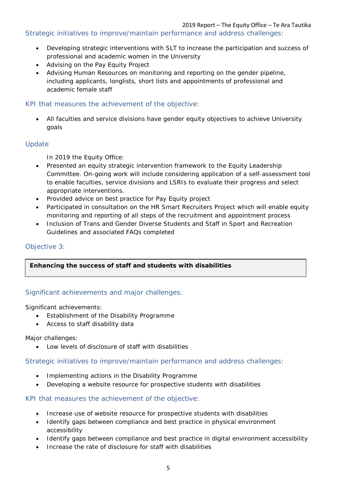Strategic initiatives to improve/maintain performance and address challenges:

- Developing strategic interventions with SLT to increase the participation and success of professional and academic women in the University
- Advising on the Pay Equity Project
- Advising Human Resources on monitoring and reporting on the gender pipeline, including applicants, longlists, short lists and appointments of professional and academic female staff

#### KPI that measures the achievement of the objective:

• All faculties and service divisions have gender equity objectives to achieve University goals

## Update

In 2019 the Equity Office:

- Presented an equity strategic intervention framework to the Equity Leadership Committee. On-going work will include considering application of a self-assessment tool to enable faculties, service divisions and LSRIs to evaluate their progress and select appropriate interventions.
- Provided advice on best practice for Pay Equity project
- Participated in consultation on the HR Smart Recruiters Project which will enable equity monitoring and reporting of all steps of the recruitment and appointment process
- Inclusion of Trans and Gender Diverse Students and Staff in Sport and Recreation Guidelines and associated FAQs completed

## *Objective 3:*

#### **Enhancing the success of staff and students with disabilities**

#### Significant achievements and major challenges:

Significant achievements:

- Establishment of the Disability Programme
- Access to staff disability data

Major challenges:

• Low levels of disclosure of staff with disabilities

Strategic initiatives to improve/maintain performance and address challenges:

- Implementing actions in the Disability Programme
- Developing a website resource for prospective students with disabilities

KPI that measures the achievement of the objective:

- Increase use of website resource for prospective students with disabilities
- Identify gaps between compliance and best practice in physical environment accessibility
- Identify gaps between compliance and best practice in digital environment accessibility
- Increase the rate of disclosure for staff with disabilities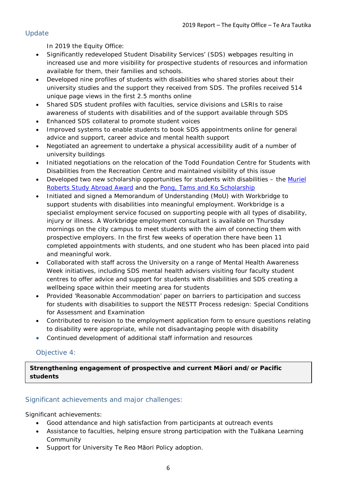## Update

In 2019 the Equity Office:

- Significantly redeveloped Student Disability Services' (SDS) webpages resulting in increased use and more visibility for prospective students of resources and information available for them, their families and schools.
- Developed nine profiles of students with disabilities who shared stories about their university studies and the support they received from SDS. The profiles received 514 unique page views in the first 2.5 months online
- Shared SDS student profiles with faculties, service divisions and LSRIs to raise awareness of students with disabilities and of the support available through SDS
- Enhanced SDS collateral to promote student voices
- Improved systems to enable students to book SDS appointments online for general advice and support, career advice and mental health support
- Negotiated an agreement to undertake a physical accessibility audit of a number of university buildings
- Initiated negotiations on the relocation of the Todd Foundation Centre for Students with Disabilities from the Recreation Centre and maintained visibility of this issue
- Developed two new scholarship opportunities for students with disabilities the [Muriel](https://www.auckland.ac.nz/en/study/scholarships-and-awards/find-a-scholarship/muriel-roberts-study-abroad-award-for-students-with-disabilities-1019-all.html)  [Roberts Study Abroad Award](https://www.auckland.ac.nz/en/study/scholarships-and-awards/find-a-scholarship/muriel-roberts-study-abroad-award-for-students-with-disabilities-1019-all.html) and the [Pong, Tams and Ko Scholarship](https://www.auckland.ac.nz/en/study/scholarships-and-awards/find-a-scholarship/pong-tams-ko-scholarship-1037-all.html)
- Initiated and signed a Memorandum of Understanding (MoU) with Workbridge to support students with disabilities into meaningful employment. Workbridge is a specialist employment service focused on supporting people with all types of disability, injury or illness. A Workbridge employment consultant is available on Thursday mornings on the city campus to meet students with the aim of connecting them with prospective employers. In the first few weeks of operation there have been 11 completed appointments with students, and one student who has been placed into paid and meaningful work.
- Collaborated with staff across the University on a range of Mental Health Awareness Week initiatives, including SDS mental health advisers visiting four faculty student centres to offer advice and support for students with disabilities and SDS creating a wellbeing space within their meeting area for students
- Provided 'Reasonable Accommodation' paper on barriers to participation and success for students with disabilities to support the NESTT Process redesign: Special Conditions for Assessment and Examination
- Contributed to revision to the employment application form to ensure questions relating to disability were appropriate, while not disadvantaging people with disability
- Continued development of additional staff information and resources

## *Objective 4:*

**Strengthening engagement of prospective and current Māori and/or Pacific students**

## Significant achievements and major challenges:

Significant achievements:

- Good attendance and high satisfaction from participants at outreach events
- Assistance to faculties, helping ensure strong participation with the Tuākana Learning Community
- Support for University Te Reo Māori Policy adoption.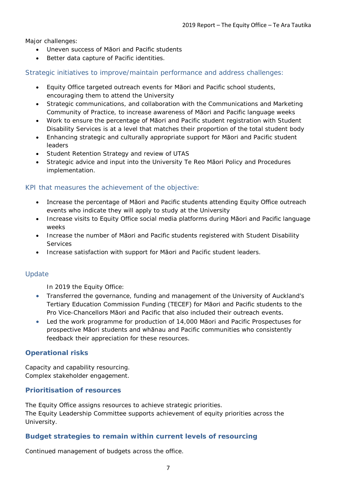Major challenges:

- Uneven success of Māori and Pacific students
- Better data capture of Pacific identities.

Strategic initiatives to improve/maintain performance and address challenges:

- Equity Office targeted outreach events for Māori and Pacific school students, encouraging them to attend the University
- Strategic communications, and collaboration with the Communications and Marketing Community of Practice, to increase awareness of Māori and Pacific language weeks
- Work to ensure the percentage of Māori and Pacific student registration with Student Disability Services is at a level that matches their proportion of the total student body
- Enhancing strategic and culturally appropriate support for Māori and Pacific student leaders
- Student Retention Strategy and review of UTAS
- Strategic advice and input into the University Te Reo Māori Policy and Procedures implementation.

## KPI that measures the achievement of the objective:

- Increase the percentage of Māori and Pacific students attending Equity Office outreach events who indicate they will apply to study at the University
- Increase visits to Equity Office social media platforms during Māori and Pacific language weeks
- Increase the number of Māori and Pacific students registered with Student Disability Services
- Increase satisfaction with support for Māori and Pacific student leaders.

## Update

In 2019 the Equity Office:

- Transferred the governance, funding and management of the University of Auckland's Tertiary Education Commission Funding (TECEF) for Māori and Pacific students to the Pro Vice-Chancellors Māori and Pacific that also included their outreach events.
- Led the work programme for production of 14,000 Māori and Pacific Prospectuses for prospective Māori students and whānau and Pacific communities who consistently feedback their appreciation for these resources.

#### **Operational risks**

Capacity and capability resourcing. Complex stakeholder engagement.

#### **Prioritisation of resources**

The Equity Office assigns resources to achieve strategic priorities. The Equity Leadership Committee supports achievement of equity priorities across the University.

## **Budget strategies to remain within current levels of resourcing**

Continued management of budgets across the office.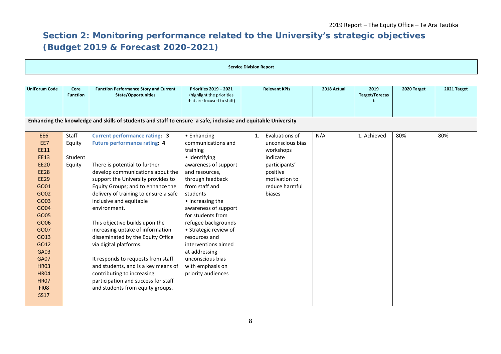# **Section 2: Monitoring performance related to the University's strategic objectives (Budget 2019 & Forecast 2020-2021)**

| <b>Service Division Report</b>                                                                                                                                                                                                                                  |                                                                                                               |                                                                                                                                                                                                                                                                                                                                                                                                                                                                                                                                                                                                                                            |                                                                                                                                                                                                                                                                                                                                                                                                    |                                                                                                                                             |             |                               |             |             |  |
|-----------------------------------------------------------------------------------------------------------------------------------------------------------------------------------------------------------------------------------------------------------------|---------------------------------------------------------------------------------------------------------------|--------------------------------------------------------------------------------------------------------------------------------------------------------------------------------------------------------------------------------------------------------------------------------------------------------------------------------------------------------------------------------------------------------------------------------------------------------------------------------------------------------------------------------------------------------------------------------------------------------------------------------------------|----------------------------------------------------------------------------------------------------------------------------------------------------------------------------------------------------------------------------------------------------------------------------------------------------------------------------------------------------------------------------------------------------|---------------------------------------------------------------------------------------------------------------------------------------------|-------------|-------------------------------|-------------|-------------|--|
|                                                                                                                                                                                                                                                                 |                                                                                                               |                                                                                                                                                                                                                                                                                                                                                                                                                                                                                                                                                                                                                                            |                                                                                                                                                                                                                                                                                                                                                                                                    |                                                                                                                                             |             |                               |             |             |  |
| <b>UniForum Code</b>                                                                                                                                                                                                                                            | Core<br><b>Function</b>                                                                                       | <b>Function Performance Story and Current</b><br><b>State/Opportunities</b>                                                                                                                                                                                                                                                                                                                                                                                                                                                                                                                                                                | <b>Priorities 2019 - 2021</b><br>(highlight the priorities<br>that are focused to shift)                                                                                                                                                                                                                                                                                                           | <b>Relevant KPIs</b>                                                                                                                        | 2018 Actual | 2019<br><b>Target/Forecas</b> | 2020 Target | 2021 Target |  |
|                                                                                                                                                                                                                                                                 | Enhancing the knowledge and skills of students and staff to ensure a safe, inclusive and equitable University |                                                                                                                                                                                                                                                                                                                                                                                                                                                                                                                                                                                                                                            |                                                                                                                                                                                                                                                                                                                                                                                                    |                                                                                                                                             |             |                               |             |             |  |
| EE6<br>EE7<br><b>EE11</b><br><b>EE13</b><br><b>EE20</b><br><b>EE28</b><br><b>EE29</b><br>GO01<br>GO02<br>GO03<br>GO04<br>GO05<br>GO06<br>GO07<br>GO13<br>GO12<br>GA03<br><b>GA07</b><br><b>HR03</b><br><b>HR04</b><br><b>HR07</b><br><b>FI08</b><br><b>SS17</b> | Staff<br>Equity<br>Student<br>Equity                                                                          | <b>Current performance rating: 3</b><br><b>Future performance rating: 4</b><br>There is potential to further<br>develop communications about the<br>support the University provides to<br>Equity Groups; and to enhance the<br>delivery of training to ensure a safe<br>inclusive and equitable<br>environment.<br>This objective builds upon the<br>increasing uptake of information<br>disseminated by the Equity Office<br>via digital platforms.<br>It responds to requests from staff<br>and students, and is a key means of<br>contributing to increasing<br>participation and success for staff<br>and students from equity groups. | • Enhancing<br>communications and<br>training<br>· Identifying<br>awareness of support<br>and resources,<br>through feedback<br>from staff and<br>students<br>• Increasing the<br>awareness of support<br>for students from<br>refugee backgrounds<br>• Strategic review of<br>resources and<br>interventions aimed<br>at addressing<br>unconscious bias<br>with emphasis on<br>priority audiences | Evaluations of<br>1.<br>unconscious bias<br>workshops<br>indicate<br>participants'<br>positive<br>motivation to<br>reduce harmful<br>biases | N/A         | 1. Achieved                   | 80%         | 80%         |  |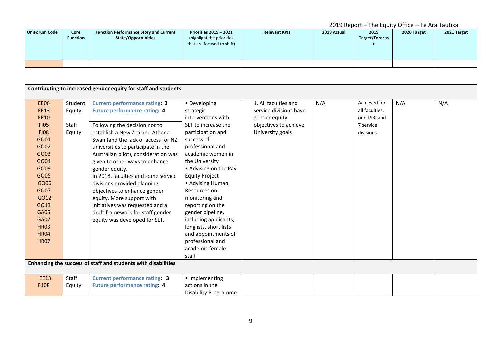|                      |                         |                                                                             | 2019 Report - The Equity Office - Te Ara Tautika                                         |                        |             |                                               |             |             |
|----------------------|-------------------------|-----------------------------------------------------------------------------|------------------------------------------------------------------------------------------|------------------------|-------------|-----------------------------------------------|-------------|-------------|
| <b>UniForum Code</b> | Core<br><b>Function</b> | <b>Function Performance Story and Current</b><br><b>State/Opportunities</b> | <b>Priorities 2019 - 2021</b><br>(highlight the priorities<br>that are focused to shift) | <b>Relevant KPIs</b>   | 2018 Actual | 2019<br><b>Target/Forecas</b><br>$\mathbf{t}$ | 2020 Target | 2021 Target |
|                      |                         |                                                                             |                                                                                          |                        |             |                                               |             |             |
|                      |                         |                                                                             |                                                                                          |                        |             |                                               |             |             |
|                      |                         | Contributing to increased gender equity for staff and students              |                                                                                          |                        |             |                                               |             |             |
| <b>EE06</b>          | Student                 | <b>Current performance rating: 3</b>                                        | • Developing                                                                             | 1. All faculties and   | N/A         | Achieved for                                  | N/A         | N/A         |
| <b>EE13</b>          | Equity                  | <b>Future performance rating: 4</b>                                         | strategic                                                                                | service divisions have |             | all faculties,                                |             |             |
| <b>EE10</b>          |                         |                                                                             | interventions with                                                                       | gender equity          |             | one LSRI and                                  |             |             |
| <b>FI05</b>          | Staff                   | Following the decision not to                                               | SLT to increase the                                                                      | objectives to achieve  |             | 7 service                                     |             |             |
| <b>FI08</b>          | Equity                  | establish a New Zealand Athena                                              | participation and                                                                        | University goals       |             | divisions                                     |             |             |
| GO01                 |                         | Swan (and the lack of access for NZ                                         | success of                                                                               |                        |             |                                               |             |             |
| GO02                 |                         | universities to participate in the                                          | professional and                                                                         |                        |             |                                               |             |             |
| GO03                 |                         | Australian pilot), consideration was                                        | academic women in                                                                        |                        |             |                                               |             |             |
| GO04                 |                         | given to other ways to enhance                                              | the University                                                                           |                        |             |                                               |             |             |
| GO09                 |                         | gender equity.                                                              | • Advising on the Pay                                                                    |                        |             |                                               |             |             |
| GO05                 |                         | In 2018, faculties and some service                                         | <b>Equity Project</b>                                                                    |                        |             |                                               |             |             |
| GO06                 |                         | divisions provided planning                                                 | • Advising Human                                                                         |                        |             |                                               |             |             |
| GO07                 |                         | objectives to enhance gender                                                | Resources on                                                                             |                        |             |                                               |             |             |
| GO12                 |                         | equity. More support with                                                   | monitoring and                                                                           |                        |             |                                               |             |             |
| GO13                 |                         | initiatives was requested and a                                             | reporting on the                                                                         |                        |             |                                               |             |             |
| <b>GA05</b>          |                         | draft framework for staff gender                                            | gender pipeline,                                                                         |                        |             |                                               |             |             |
| <b>GA07</b>          |                         | equity was developed for SLT.                                               | including applicants,                                                                    |                        |             |                                               |             |             |
| <b>HR03</b>          |                         |                                                                             | longlists, short lists                                                                   |                        |             |                                               |             |             |
| <b>HR04</b>          |                         |                                                                             | and appointments of                                                                      |                        |             |                                               |             |             |
| <b>HR07</b>          |                         |                                                                             | professional and                                                                         |                        |             |                                               |             |             |
|                      |                         |                                                                             | academic female                                                                          |                        |             |                                               |             |             |
|                      |                         |                                                                             | staff                                                                                    |                        |             |                                               |             |             |
|                      |                         | Enhancing the success of staff and students with disabilities               |                                                                                          |                        |             |                                               |             |             |
| <b>EE13</b>          | Staff                   | <b>Current performance rating: 3</b>                                        | • Implementing                                                                           |                        |             |                                               |             |             |
| F108                 | Equity                  | <b>Future performance rating: 4</b>                                         | actions in the                                                                           |                        |             |                                               |             |             |
|                      |                         |                                                                             | <b>Disability Programme</b>                                                              |                        |             |                                               |             |             |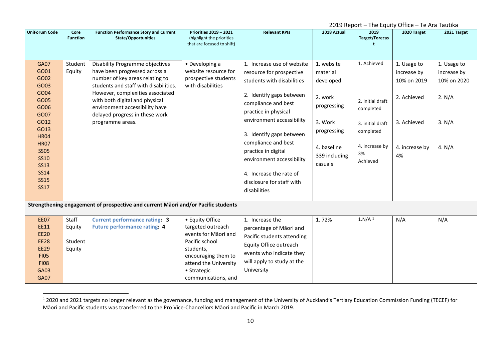<span id="page-9-0"></span>

| 2019 Report - The Equity Office - Te Ara Tautika                                                                                                                                                            |                                      |                                                                                                                                                                                                                                                                                                            |                                                                                                                                                                                   |                                                                                                                                                                                                                                                                                                                                                                             |                                                                                                                                    |                                                                                                                   |                                                                                                 |                                                                         |  |
|-------------------------------------------------------------------------------------------------------------------------------------------------------------------------------------------------------------|--------------------------------------|------------------------------------------------------------------------------------------------------------------------------------------------------------------------------------------------------------------------------------------------------------------------------------------------------------|-----------------------------------------------------------------------------------------------------------------------------------------------------------------------------------|-----------------------------------------------------------------------------------------------------------------------------------------------------------------------------------------------------------------------------------------------------------------------------------------------------------------------------------------------------------------------------|------------------------------------------------------------------------------------------------------------------------------------|-------------------------------------------------------------------------------------------------------------------|-------------------------------------------------------------------------------------------------|-------------------------------------------------------------------------|--|
| <b>UniForum Code</b>                                                                                                                                                                                        | Core<br><b>Function</b>              | <b>Function Performance Story and Current</b><br><b>State/Opportunities</b>                                                                                                                                                                                                                                | <b>Priorities 2019 - 2021</b><br>(highlight the priorities<br>that are focused to shift)                                                                                          | <b>Relevant KPIs</b>                                                                                                                                                                                                                                                                                                                                                        | 2018 Actual                                                                                                                        | 2019<br><b>Target/Forecas</b>                                                                                     | 2020 Target                                                                                     | 2021 Target                                                             |  |
| <b>GA07</b><br>GO01<br>GO02<br>GO03<br>GO04<br>GO05<br>GO06<br>GO07<br>GO12<br>GO13<br><b>HR04</b><br><b>HR07</b><br><b>SS05</b><br><b>SS10</b><br><b>SS13</b><br><b>SS14</b><br><b>SS15</b><br><b>SS17</b> | Student<br>Equity                    | Disability Programme objectives<br>have been progressed across a<br>number of key areas relating to<br>students and staff with disabilities.<br>However, complexities associated<br>with both digital and physical<br>environment accessibility have<br>delayed progress in these work<br>programme areas. | • Developing a<br>website resource for<br>prospective students<br>with disabilities                                                                                               | 1. Increase use of website<br>resource for prospective<br>students with disabilities<br>2. Identify gaps between<br>compliance and best<br>practice in physical<br>environment accessibility<br>3. Identify gaps between<br>compliance and best<br>practice in digital<br>environment accessibility<br>4. Increase the rate of<br>disclosure for staff with<br>disabilities | 1. website<br>material<br>developed<br>2. work<br>progressing<br>3. Work<br>progressing<br>4. baseline<br>339 including<br>casuals | 1. Achieved<br>2. initial draft<br>completed<br>3. initial draft<br>completed<br>4. increase by<br>3%<br>Achieved | 1. Usage to<br>increase by<br>10% on 2019<br>2. Achieved<br>3. Achieved<br>4. increase by<br>4% | 1. Usage to<br>increase by<br>10% on 2020<br>2. N/A<br>3. N/A<br>4. N/A |  |
| Strengthening engagement of prospective and current Māori and/or Pacific students                                                                                                                           |                                      |                                                                                                                                                                                                                                                                                                            |                                                                                                                                                                                   |                                                                                                                                                                                                                                                                                                                                                                             |                                                                                                                                    |                                                                                                                   |                                                                                                 |                                                                         |  |
| <b>EE07</b><br>EE11<br><b>EE20</b><br><b>EE28</b><br><b>EE29</b><br><b>FI05</b><br><b>FI08</b><br><b>GA03</b><br><b>GA07</b>                                                                                | Staff<br>Equity<br>Student<br>Equity | <b>Current performance rating: 3</b><br><b>Future performance rating: 4</b>                                                                                                                                                                                                                                | • Equity Office<br>targeted outreach<br>events for Māori and<br>Pacific school<br>students,<br>encouraging them to<br>attend the University<br>• Strategic<br>communications, and | 1. Increase the<br>percentage of Māori and<br>Pacific students attending<br>Equity Office outreach<br>events who indicate they<br>will apply to study at the<br>University                                                                                                                                                                                                  | 1.72%                                                                                                                              | 1.N/A <sup>1</sup>                                                                                                | N/A                                                                                             | N/A                                                                     |  |

<sup>&</sup>lt;sup>1</sup> 2020 and 2021 targets no longer relevant as the governance, funding and management of the University of Auckland's Tertiary Education Commission Funding (TECEF) for Māori and Pacific students was transferred to the Pro Vice-Chancellors Māori and Pacific in March 2019.